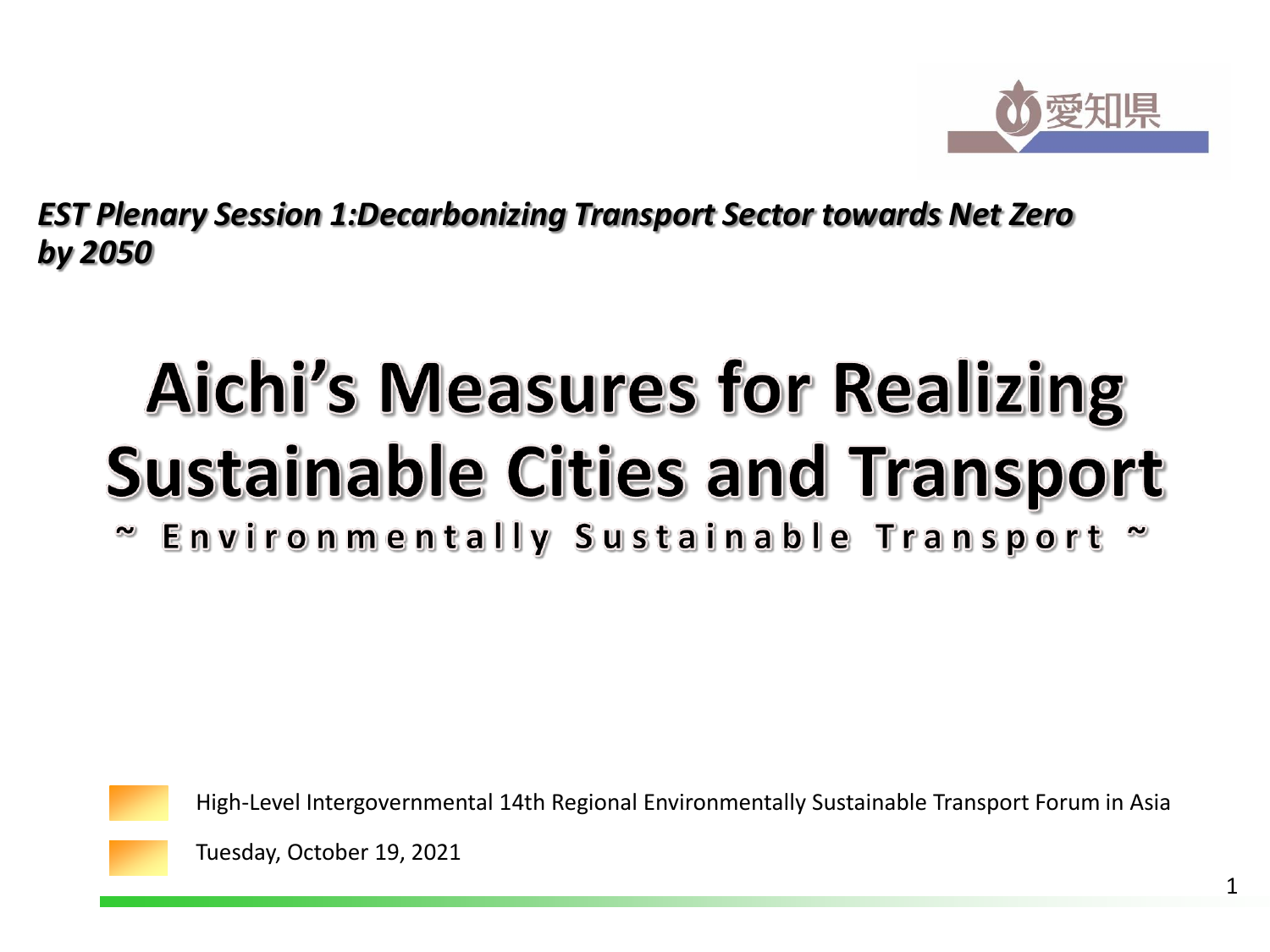

*EST Plenary Session 1:Decarbonizing Transport Sector towards Net Zero by 2050*

# **Aichi's Measures for Realizing Sustainable Cities and Transport**

~ Environmentally Sustainable Transport



High-Level Intergovernmental 14th Regional Environmentally Sustainable Transport Forum in Asia

Tuesday, October 19, 2021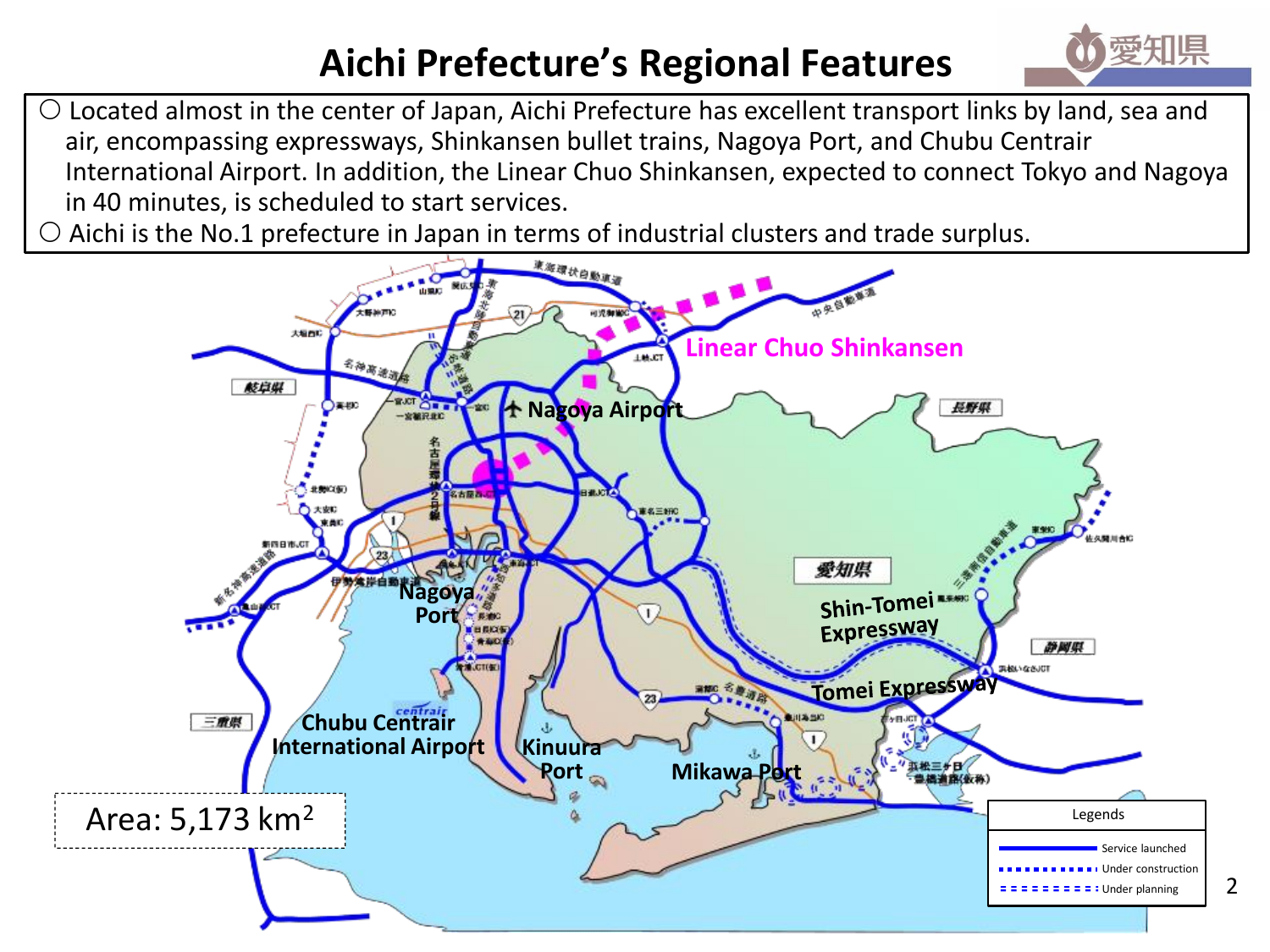## **Aichi Prefecture's Regional Features**



 $\circ$  Located almost in the center of Japan, Aichi Prefecture has excellent transport links by land, sea and air, encompassing expressways, Shinkansen bullet trains, Nagoya Port, and Chubu Centrair International Airport. In addition, the Linear Chuo Shinkansen, expected to connect Tokyo and Nagoya in 40 minutes, is scheduled to start services.

Aichi is the No.1 prefecture in Japan in terms of industrial clusters and trade surplus.

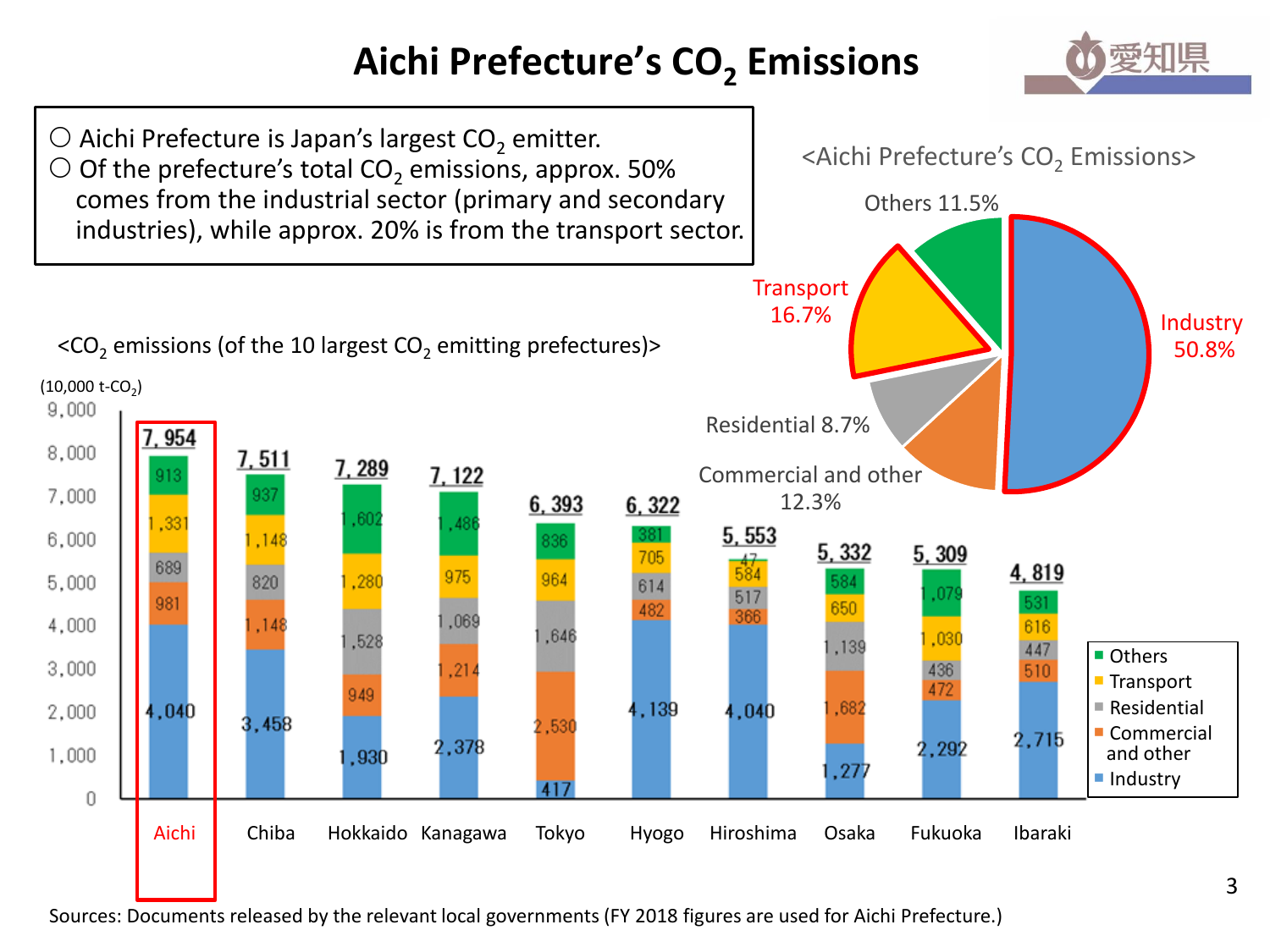# **Aichi Prefecture's CO<sup>2</sup> Emissions**





Sources: Documents released by the relevant local governments (FY 2018 figures are used for Aichi Prefecture.)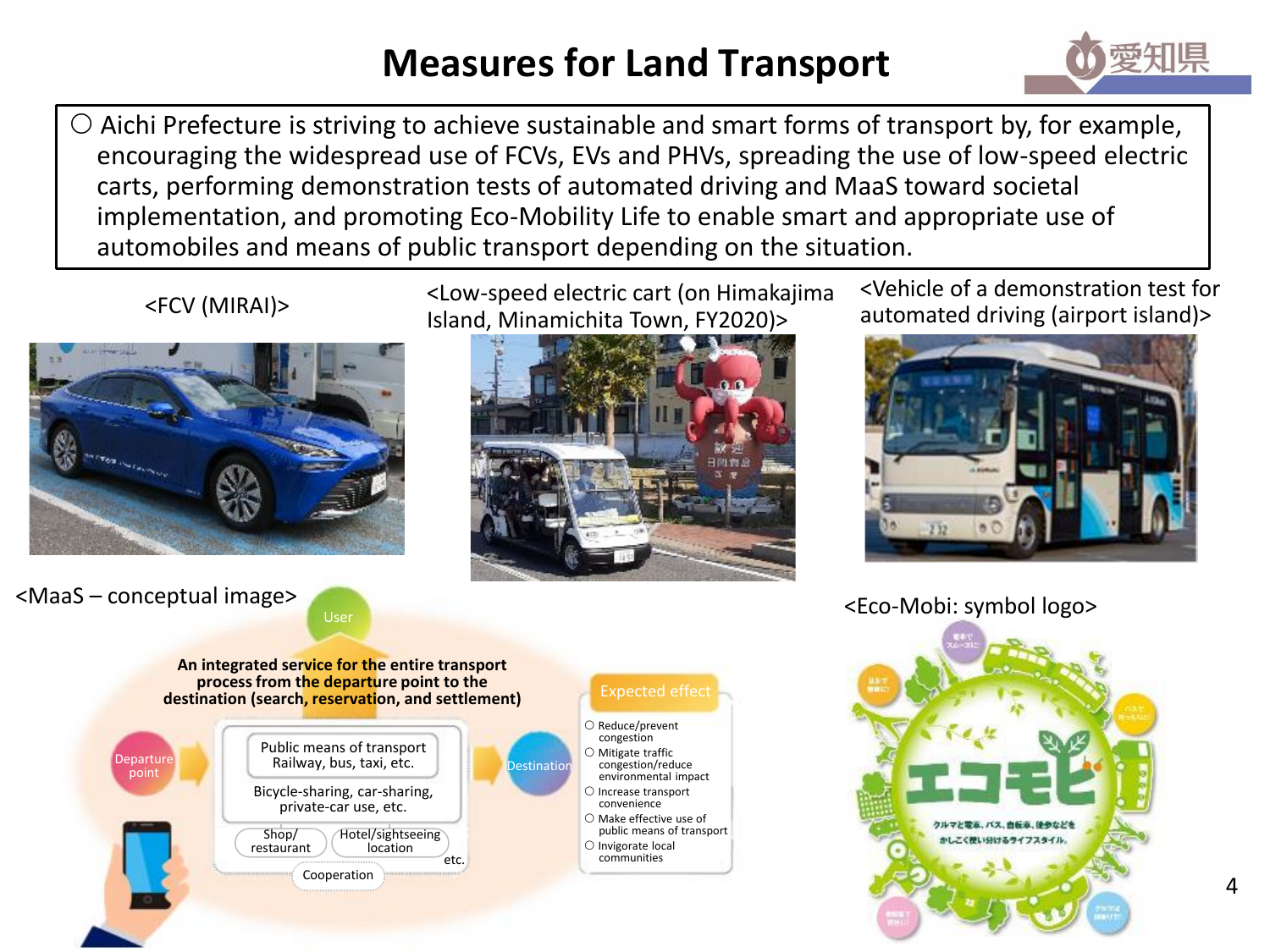#### **Measures for Land Transport**



 Aichi Prefecture is striving to achieve sustainable and smart forms of transport by, for example, encouraging the widespread use of FCVs, EVs and PHVs, spreading the use of low-speed electric carts, performing demonstration tests of automated driving and MaaS toward societal implementation, and promoting Eco-Mobility Life to enable smart and appropriate use of automobiles and means of public transport depending on the situation.



<Low-speed electric cart (on Himakajima Island, Minamichita Town, FY2020)> automated driving (airport island)> <FCV (MIRAI)>



<Vehicle of a demonstration test for



<MaaS – conceptual image>





<Eco-Mobi: symbol logo>

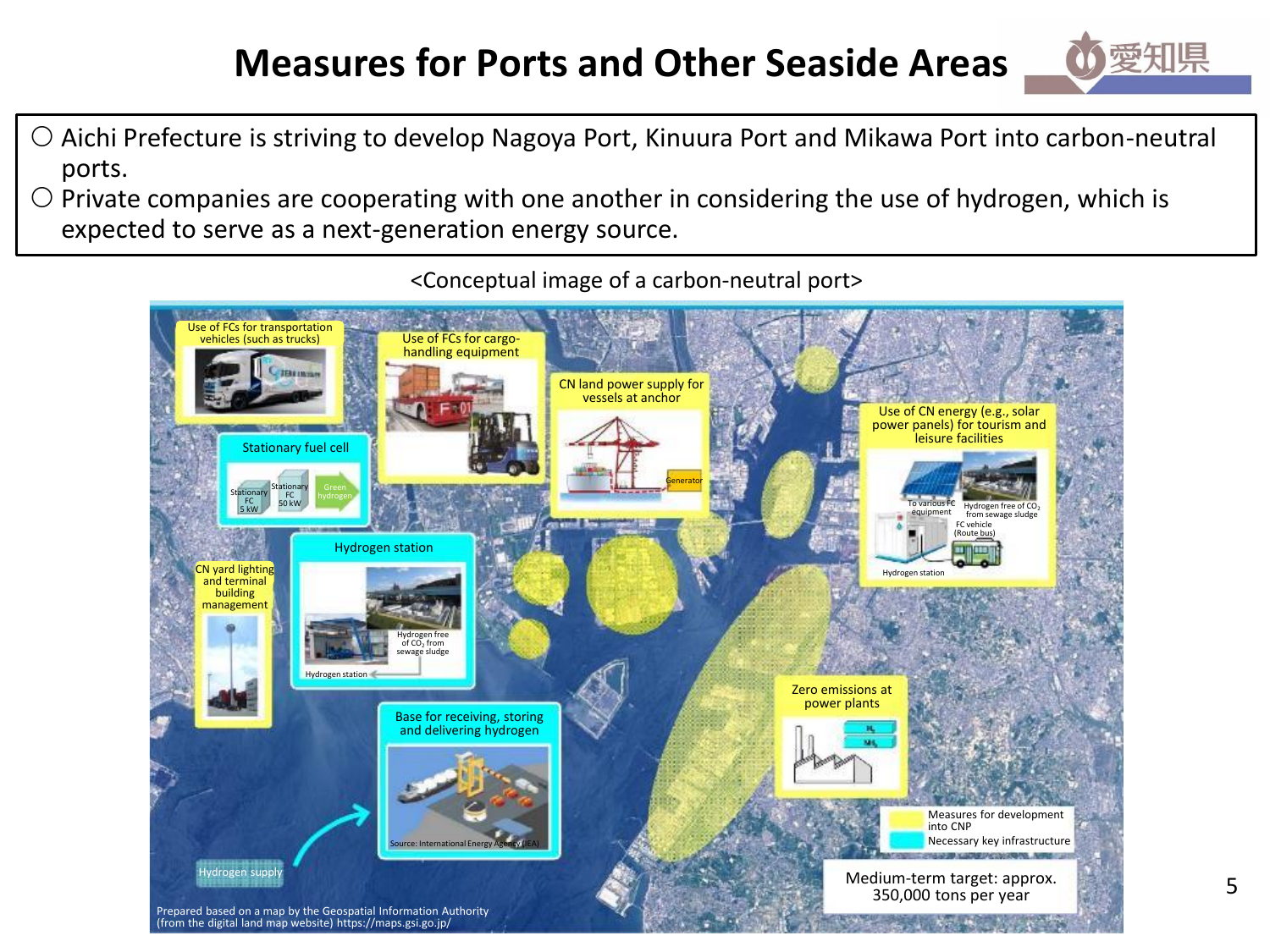#### **Measures for Ports and Other Seaside Areas**



- Aichi Prefecture is striving to develop Nagoya Port, Kinuura Port and Mikawa Port into carbon-neutral ports.
- $\circ$  Private companies are cooperating with one another in considering the use of hydrogen, which is expected to serve as a next-generation energy source.



<Conceptual image of a carbon-neutral port>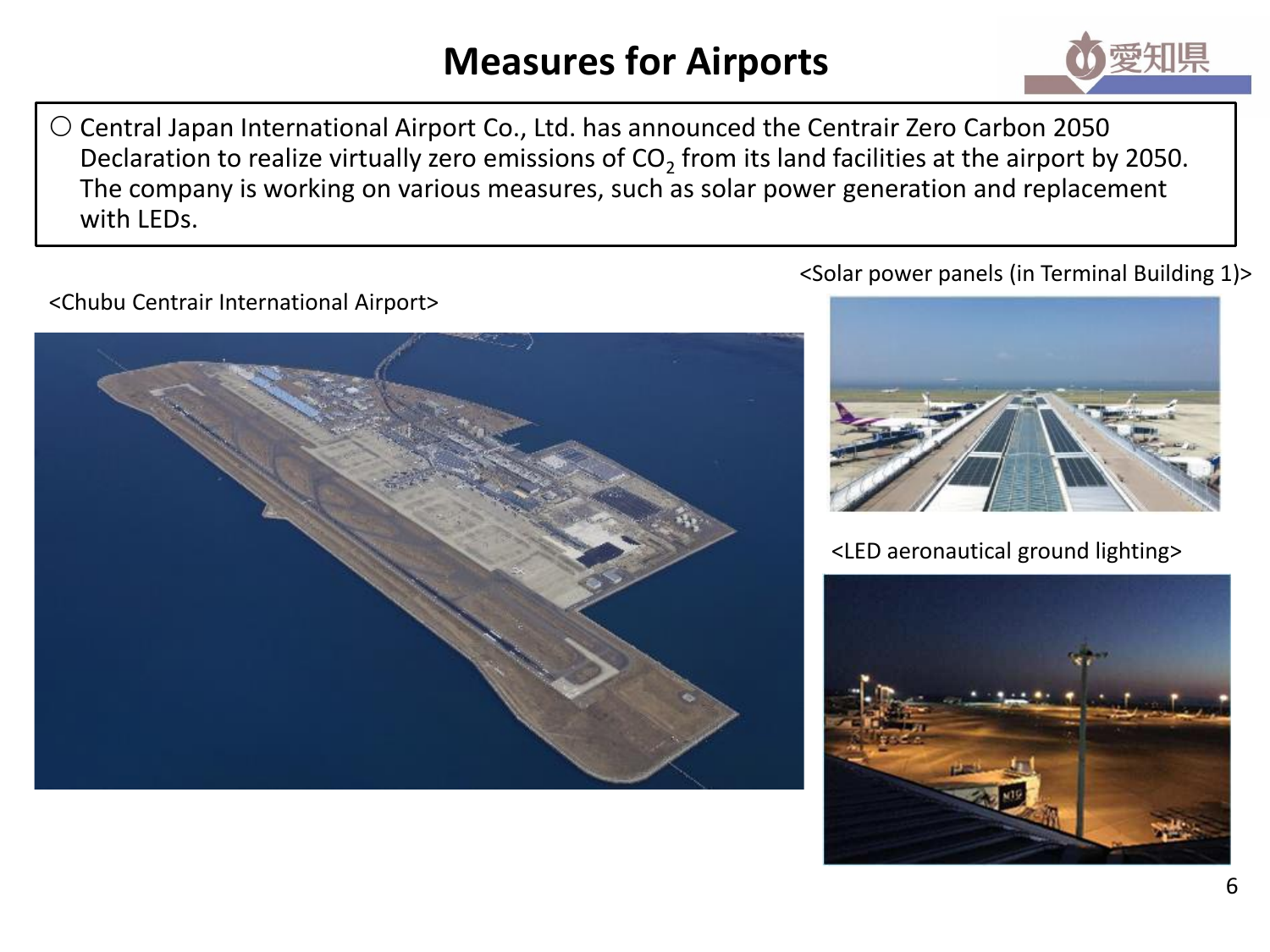#### **Measures for Airports**



 Central Japan International Airport Co., Ltd. has announced the Centrair Zero Carbon 2050 Declaration to realize virtually zero emissions of CO<sub>2</sub> from its land facilities at the airport by 2050. The company is working on various measures, such as solar power generation and replacement with LEDs.

<Chubu Centrair International Airport>



<Solar power panels (in Terminal Building 1)>



<LED aeronautical ground lighting>

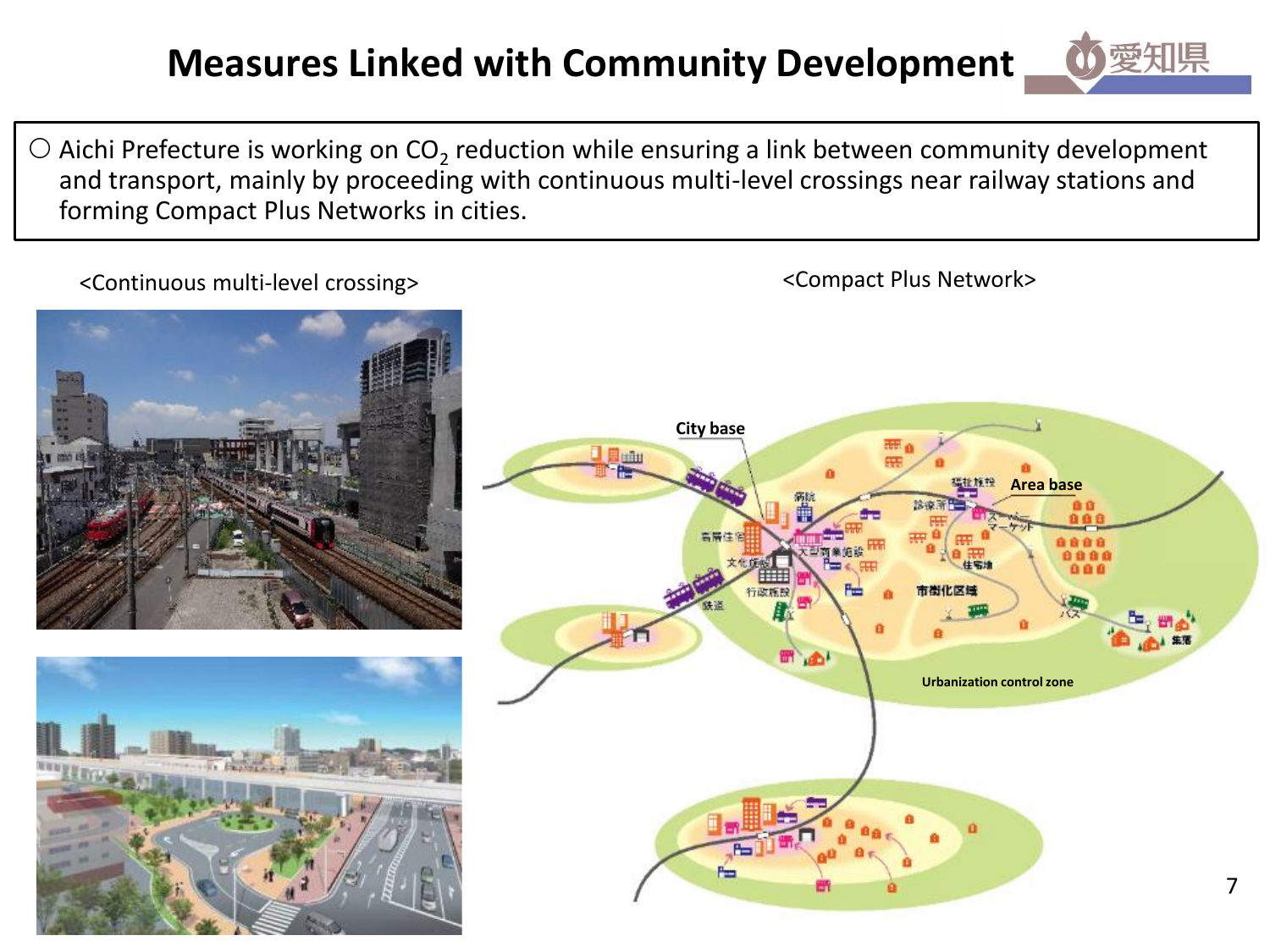## **Measures Linked with Community Development**

 $\bigcirc$  Aichi Prefecture is working on CO<sub>2</sub> reduction while ensuring a link between community development and transport, mainly by proceeding with continuous multi-level crossings near railway stations and forming Compact Plus Networks in cities.